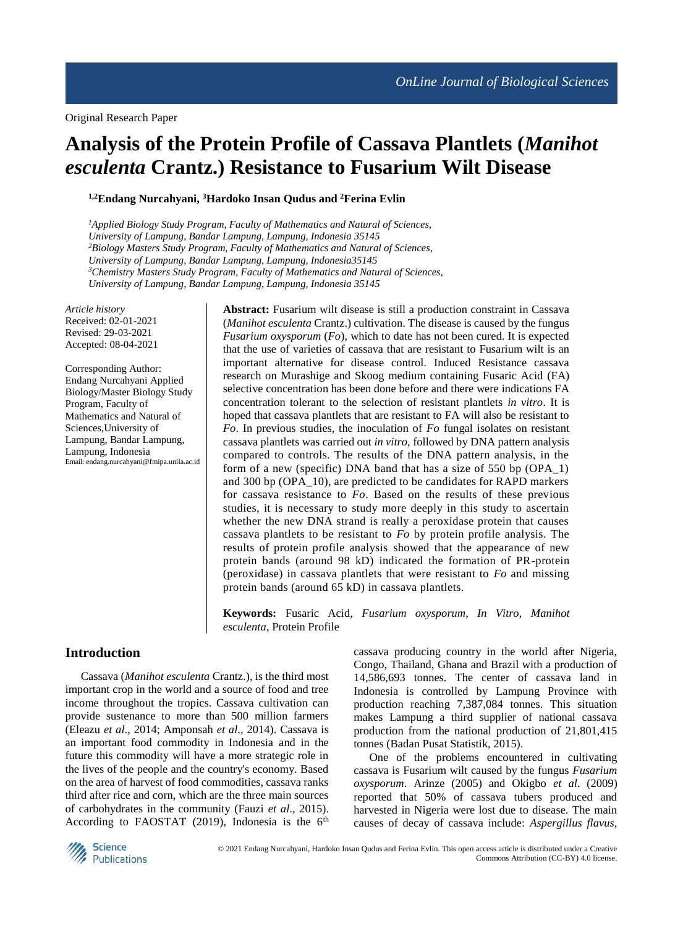# **Analysis of the Protein Profile of Cassava Plantlets (***Manihot esculenta* **Crantz.) Resistance to Fusarium Wilt Disease**

**1,2Endang Nurcahyani, <sup>3</sup>Hardoko Insan Qudus and <sup>2</sup>Ferina Evlin**

*<sup>1</sup>Applied Biology Study Program, Faculty of Mathematics and Natural of Sciences, University of Lampung, Bandar Lampung, Lampung, Indonesia 35145 <sup>2</sup>Biology Masters Study Program, Faculty of Mathematics and Natural of Sciences, University of Lampung, Bandar Lampung, Lampung, Indonesia35145 <sup>3</sup>Chemistry Masters Study Program, Faculty of Mathematics and Natural of Sciences, University of Lampung, Bandar Lampung, Lampung, Indonesia 35145*

*Article history* Received: 02-01-2021 Revised: 29-03-2021 Accepted: 08-04-2021

Corresponding Author: Endang Nurcahyani Applied Biology/Master Biology Study Program, Faculty of Mathematics and Natural of Sciences,University of Lampung, Bandar Lampung, Lampung, Indonesia Email[: endang.nurcahyani@fmipa.unila.ac.id](mailto:endang.nurcahyani@fmipa.unila.ac.id) **Abstract:** Fusarium wilt disease is still a production constraint in Cassava (*Manihot esculenta* Crantz.) cultivation. The disease is caused by the fungus *Fusarium oxysporum* (*Fo*), which to date has not been cured. It is expected that the use of varieties of cassava that are resistant to Fusarium wilt is an important alternative for disease control. Induced Resistance cassava research on Murashige and Skoog medium containing Fusaric Acid (FA) selective concentration has been done before and there were indications FA concentration tolerant to the selection of resistant plantlets *in vitro*. It is hoped that cassava plantlets that are resistant to FA will also be resistant to *Fo*. In previous studies, the inoculation of *Fo* fungal isolates on resistant cassava plantlets was carried out *in vitro*, followed by DNA pattern analysis compared to controls. The results of the DNA pattern analysis, in the form of a new (specific) DNA band that has a size of 550 bp (OPA\_1) and 300 bp (OPA\_10), are predicted to be candidates for RAPD markers for cassava resistance to *Fo*. Based on the results of these previous studies, it is necessary to study more deeply in this study to ascertain whether the new DNA strand is really a peroxidase protein that causes cassava plantlets to be resistant to *Fo* by protein profile analysis. The results of protein profile analysis showed that the appearance of new protein bands (around 98 kD) indicated the formation of PR-protein (peroxidase) in cassava plantlets that were resistant to *Fo* and missing protein bands (around 65 kD) in cassava plantlets.

**Keywords:** Fusaric Acid, *Fusarium oxysporum*, *In Vitro*, *Manihot esculenta*, Protein Profile

# **Introduction**

Cassava (*Manihot esculenta* Crantz.), is the third most important crop in the world and a source of food and tree income throughout the tropics. Cassava cultivation can provide sustenance to more than 500 million farmers (Eleazu *et al*., 2014; Amponsah *et al*., 2014). Cassava is an important food commodity in Indonesia and in the future this commodity will have a more strategic role in the lives of the people and the country's economy. Based on the area of harvest of food commodities, cassava ranks third after rice and corn, which are the three main sources of carbohydrates in the community (Fauzi *et al*., 2015). According to FAOSTAT (2019), Indonesia is the  $6<sup>th</sup>$ 

cassava producing country in the world after Nigeria, Congo, Thailand, Ghana and Brazil with a production of 14,586,693 tonnes. The center of cassava land in Indonesia is controlled by Lampung Province with production reaching 7,387,084 tonnes. This situation makes Lampung a third supplier of national cassava production from the national production of 21,801,415 tonnes (Badan Pusat Statistik, 2015).

One of the problems encountered in cultivating cassava is Fusarium wilt caused by the fungus *Fusarium oxysporum*. Arinze (2005) and Okigbo *et al*. (2009) reported that 50% of cassava tubers produced and harvested in Nigeria were lost due to disease. The main causes of decay of cassava include: *Aspergillus flavus*,

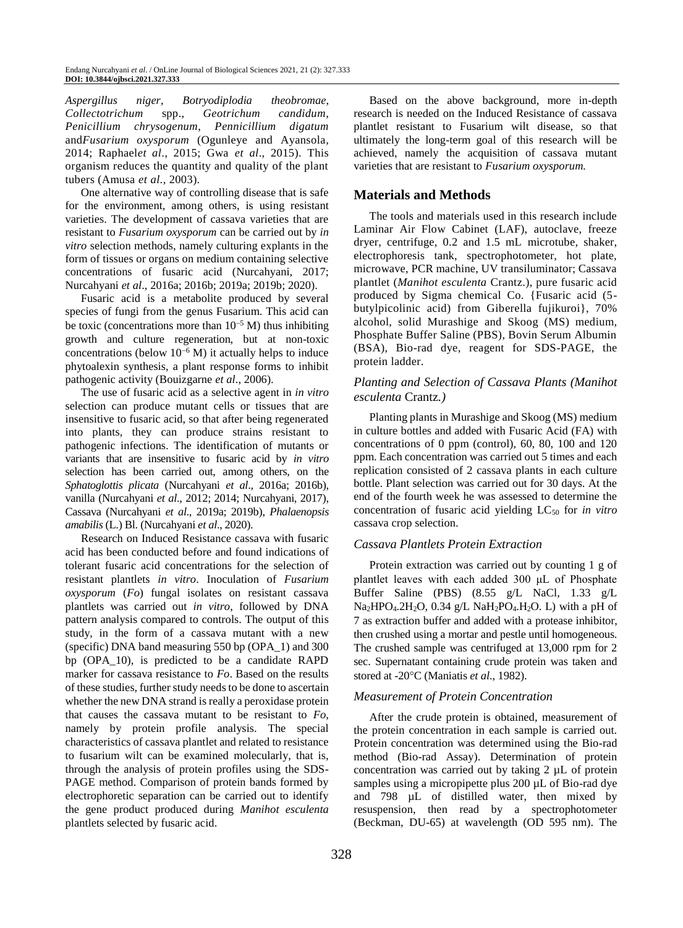*Aspergillus niger*, *Botryodiplodia theobromae*, *Collectotrichum* spp., *Geotrichum candidum*, *Penicillium chrysogenum*, *Pennicillium digatum* and*Fusarium oxysporum* (Ogunleye and Ayansola, 2014; Raphael*et al*., 2015; Gwa *et al*., 2015). This organism reduces the quantity and quality of the plant tubers (Amusa *et al*., 2003).

One alternative way of controlling disease that is safe for the environment, among others, is using resistant varieties. The development of cassava varieties that are resistant to *Fusarium oxysporum* can be carried out by *in vitro* selection methods, namely culturing explants in the form of tissues or organs on medium containing selective concentrations of fusaric acid (Nurcahyani, 2017; Nurcahyani *et al*., 2016a; 2016b; 2019a; 2019b; 2020).

Fusaric acid is a metabolite produced by several species of fungi from the genus Fusarium. This acid can be toxic (concentrations more than  $10^{-5}$  M) thus inhibiting growth and culture regeneration, but at non-toxic concentrations (below  $10^{-6}$  M) it actually helps to induce phytoalexin synthesis, a plant response forms to inhibit pathogenic activity (Bouizgarne *et al*., 2006).

The use of fusaric acid as a selective agent in *in vitro* selection can produce mutant cells or tissues that are insensitive to fusaric acid, so that after being regenerated into plants, they can produce strains resistant to pathogenic infections. The identification of mutants or variants that are insensitive to fusaric acid by *in vitro* selection has been carried out, among others, on the *Sphatoglottis plicata* (Nurcahyani *et al*., 2016a; 2016b), vanilla (Nurcahyani *et al*., 2012; 2014; Nurcahyani, 2017), Cassava (Nurcahyani *et al*., 2019a; 2019b), *Phalaenopsis amabilis* (L.) Bl. (Nurcahyani *et al*., 2020).

Research on Induced Resistance cassava with fusaric acid has been conducted before and found indications of tolerant fusaric acid concentrations for the selection of resistant plantlets *in vitro*. Inoculation of *Fusarium oxysporum* (*Fo*) fungal isolates on resistant cassava plantlets was carried out *in vitro*, followed by DNA pattern analysis compared to controls. The output of this study, in the form of a cassava mutant with a new (specific) DNA band measuring 550 bp (OPA\_1) and 300 bp (OPA\_10), is predicted to be a candidate RAPD marker for cassava resistance to *Fo*. Based on the results of these studies, further study needs to be done to ascertain whether the new DNA strand is really a peroxidase protein that causes the cassava mutant to be resistant to *Fo*, namely by protein profile analysis. The special characteristics of cassava plantlet and related to resistance to fusarium wilt can be examined molecularly, that is, through the analysis of protein profiles using the SDS-PAGE method. Comparison of protein bands formed by electrophoretic separation can be carried out to identify the gene product produced during *Manihot esculenta* plantlets selected by fusaric acid.

Based on the above background, more in-depth research is needed on the Induced Resistance of cassava plantlet resistant to Fusarium wilt disease, so that ultimately the long-term goal of this research will be achieved, namely the acquisition of cassava mutant varieties that are resistant to *Fusarium oxysporum.*

# **Materials and Methods**

The tools and materials used in this research include Laminar Air Flow Cabinet (LAF), autoclave, freeze dryer, centrifuge, 0.2 and 1.5 mL microtube, shaker, electrophoresis tank, spectrophotometer, hot plate, microwave, PCR machine, UV transiluminator; Cassava plantlet (*Manihot esculenta* Crantz.), pure fusaric acid produced by Sigma chemical Co. {Fusaric acid (5 butylpicolinic acid) from Giberella fujikuroi}, 70% alcohol, solid Murashige and Skoog (MS) medium, Phosphate Buffer Saline (PBS), Bovin Serum Albumin (BSA), Bio-rad dye, reagent for SDS-PAGE, the protein ladder.

## *Planting and Selection of Cassava Plants (Manihot esculenta* Crantz*.)*

Planting plants in Murashige and Skoog (MS) medium in culture bottles and added with Fusaric Acid (FA) with concentrations of 0 ppm (control), 60, 80, 100 and 120 ppm. Each concentration was carried out 5 times and each replication consisted of 2 cassava plants in each culture bottle. Plant selection was carried out for 30 days. At the end of the fourth week he was assessed to determine the concentration of fusaric acid yielding LC<sup>50</sup> for *in vitro* cassava crop selection.

# *Cassava Plantlets Protein Extraction*

Protein extraction was carried out by counting 1 g of plantlet leaves with each added 300 μL of Phosphate Buffer Saline (PBS) (8.55 g/L NaCl, 1.33 g/L Na<sub>2</sub>HPO<sub>4</sub>.2H<sub>2</sub>O, 0.34 g/L NaH<sub>2</sub>PO<sub>4</sub>.H<sub>2</sub>O. L) with a pH of 7 as extraction buffer and added with a protease inhibitor, then crushed using a mortar and pestle until homogeneous. The crushed sample was centrifuged at 13,000 rpm for 2 sec. Supernatant containing crude protein was taken and stored at -20°C (Maniatis et al., 1982).

## *Measurement of Protein Concentration*

After the crude protein is obtained, measurement of the protein concentration in each sample is carried out. Protein concentration was determined using the Bio-rad method (Bio-rad Assay). Determination of protein concentration was carried out by taking 2 µL of protein samples using a micropipette plus 200 µL of Bio-rad dye and 798 µL of distilled water, then mixed by resuspension, then read by a spectrophotometer (Beckman, DU-65) at wavelength (OD 595 nm). The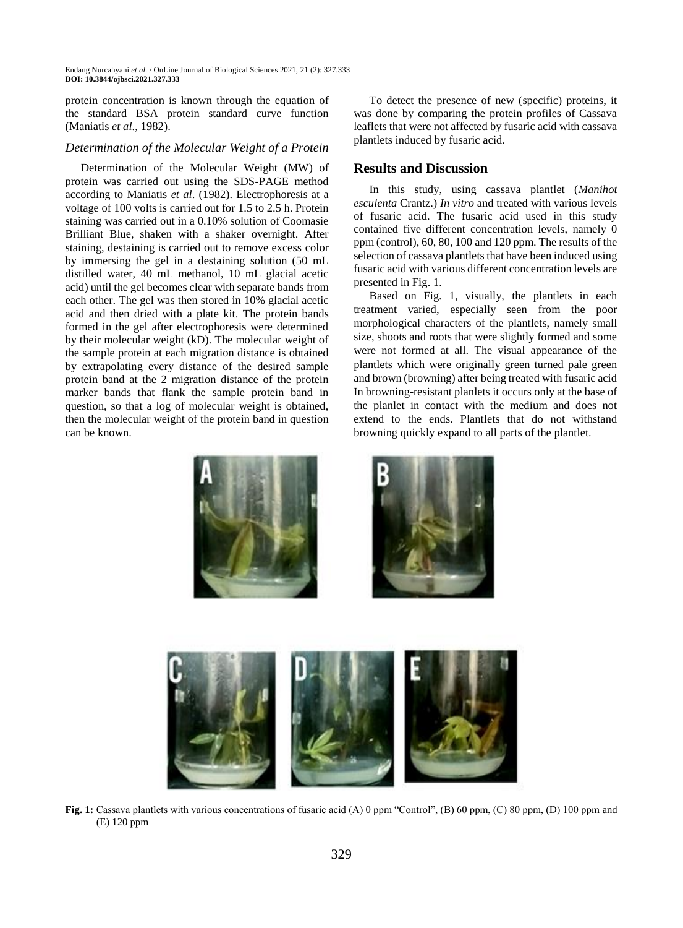protein concentration is known through the equation of the standard BSA protein standard curve function (Maniatis *et al*., 1982).

#### *Determination of the Molecular Weight of a Protein*

Determination of the Molecular Weight (MW) of protein was carried out using the SDS-PAGE method according to Maniatis *et al*. (1982). Electrophoresis at a voltage of 100 volts is carried out for 1.5 to 2.5 h. Protein staining was carried out in a 0.10% solution of Coomasie Brilliant Blue, shaken with a shaker overnight. After staining, destaining is carried out to remove excess color by immersing the gel in a destaining solution (50 mL distilled water, 40 mL methanol, 10 mL glacial acetic acid) until the gel becomes clear with separate bands from each other. The gel was then stored in 10% glacial acetic acid and then dried with a plate kit. The protein bands formed in the gel after electrophoresis were determined by their molecular weight (kD). The molecular weight of the sample protein at each migration distance is obtained by extrapolating every distance of the desired sample protein band at the 2 migration distance of the protein marker bands that flank the sample protein band in question, so that a log of molecular weight is obtained, then the molecular weight of the protein band in question can be known.

To detect the presence of new (specific) proteins, it was done by comparing the protein profiles of Cassava leaflets that were not affected by fusaric acid with cassava plantlets induced by fusaric acid.

#### **Results and Discussion**

In this study, using cassava plantlet (*Manihot esculenta* Crantz.) *In vitro* and treated with various levels of fusaric acid. The fusaric acid used in this study contained five different concentration levels, namely 0 ppm (control), 60, 80, 100 and 120 ppm. The results of the selection of cassava plantlets that have been induced using fusaric acid with various different concentration levels are presented in Fig. 1.

Based on Fig. 1, visually, the plantlets in each treatment varied, especially seen from the poor morphological characters of the plantlets, namely small size, shoots and roots that were slightly formed and some were not formed at all. The visual appearance of the plantlets which were originally green turned pale green and brown (browning) after being treated with fusaric acid In browning-resistant planlets it occurs only at the base of the planlet in contact with the medium and does not extend to the ends. Plantlets that do not withstand browning quickly expand to all parts of the plantlet.







**Fig. 1:** Cassava plantlets with various concentrations of fusaric acid (A) 0 ppm "Control", (B) 60 ppm, (C) 80 ppm, (D) 100 ppm and (E) 120 ppm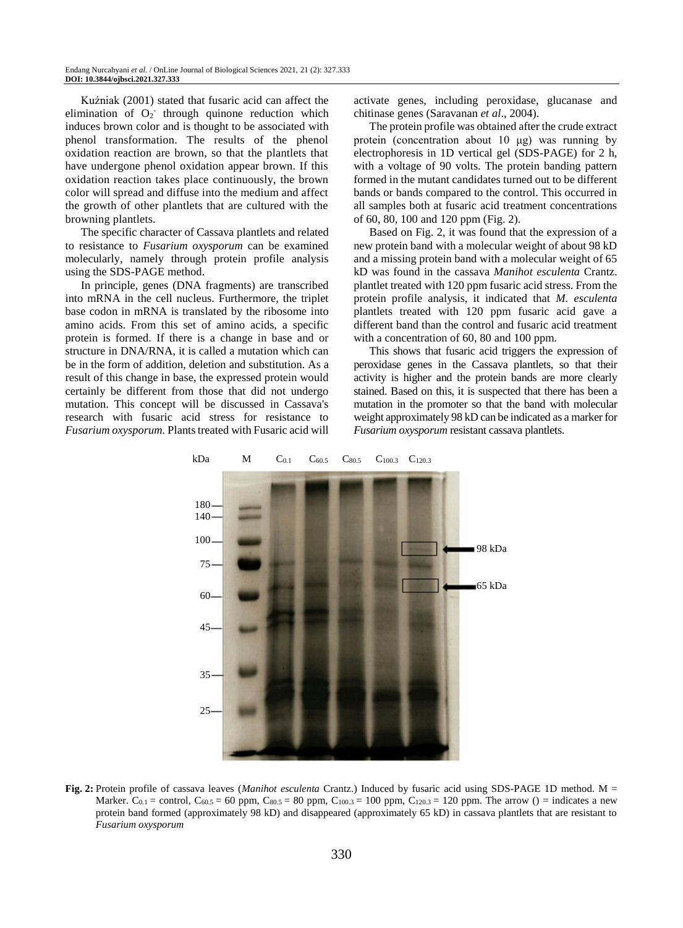Kuźniak (2001) stated that fusaric acid can affect the elimination of  $O_2$  through quinone reduction which induces brown color and is thought to be associated with phenol transformation. The results of the phenol oxidation reaction are brown, so that the plantlets that have undergone phenol oxidation appear brown. If this oxidation reaction takes place continuously, the brown color will spread and diffuse into the medium and affect the growth of other plantlets that are cultured with the browning plantlets.

The specific character of Cassava plantlets and related to resistance to *Fusarium oxysporum* can be examined molecularly, namely through protein profile analysis using the SDS-PAGE method.

In principle, genes (DNA fragments) are transcribed into mRNA in the cell nucleus. Furthermore, the triplet base codon in mRNA is translated by the ribosome into amino acids. From this set of amino acids, a specific protein is formed. If there is a change in base and or structure in DNA/RNA, it is called a mutation which can be in the form of addition, deletion and substitution. As a result of this change in base, the expressed protein would certainly be different from those that did not undergo mutation. This concept will be discussed in Cassava's research with fusaric acid stress for resistance to *Fusarium oxysporum.* Plants treated with Fusaric acid will

activate genes, including peroxidase, glucanase and chitinase genes (Saravanan *et al*., 2004).

The protein profile was obtained after the crude extract protein (concentration about 10 μg) was running by electrophoresis in 1D vertical gel (SDS-PAGE) for 2 h, with a voltage of 90 volts. The protein banding pattern formed in the mutant candidates turned out to be different bands or bands compared to the control. This occurred in all samples both at fusaric acid treatment concentrations of 60, 80, 100 and 120 ppm (Fig. 2).

Based on Fig. 2, it was found that the expression of a new protein band with a molecular weight of about 98 kD and a missing protein band with a molecular weight of 65 kD was found in the cassava *Manihot esculenta* Crantz. plantlet treated with 120 ppm fusaric acid stress. From the protein profile analysis, it indicated that *M. esculenta* plantlets treated with 120 ppm fusaric acid gave a different band than the control and fusaric acid treatment with a concentration of 60, 80 and 100 ppm.

This shows that fusaric acid triggers the expression of peroxidase genes in the Cassava plantlets, so that their activity is higher and the protein bands are more clearly stained. Based on this, it is suspected that there has been a mutation in the promoter so that the band with molecular weight approximately 98 kD can be indicated as a marker for *Fusarium oxysporum* resistant cassava plantlets.



**Fig. 2:** Protein profile of cassava leaves (*Manihot esculenta* Crantz.) Induced by fusaric acid using SDS-PAGE 1D method. M = Marker.  $C_{0.1}$  = control,  $C_{60.5}$  = 60 ppm,  $C_{80.5}$  = 80 ppm,  $C_{100.3}$  = 100 ppm,  $C_{120.3}$  = 120 ppm. The arrow () = indicates a new protein band formed (approximately 98 kD) and disappeared (approximately 65 kD) in cassava plantlets that are resistant to *Fusarium oxysporum*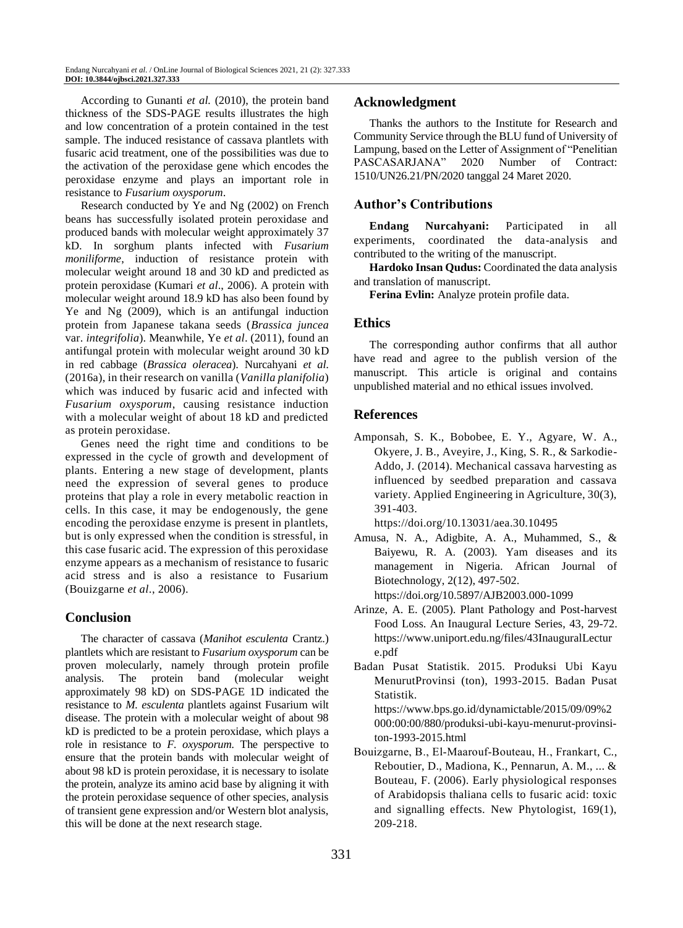According to Gunanti *et al.* (2010), the protein band thickness of the SDS-PAGE results illustrates the high and low concentration of a protein contained in the test sample. The induced resistance of cassava plantlets with fusaric acid treatment, one of the possibilities was due to the activation of the peroxidase gene which encodes the peroxidase enzyme and plays an important role in resistance to *Fusarium oxysporum*.

Research conducted by Ye and Ng (2002) on French beans has successfully isolated protein peroxidase and produced bands with molecular weight approximately 37 kD. In sorghum plants infected with *Fusarium moniliforme*, induction of resistance protein with molecular weight around 18 and 30 kD and predicted as protein peroxidase (Kumari *et al*., 2006). A protein with molecular weight around 18.9 kD has also been found by Ye and Ng (2009), which is an antifungal induction protein from Japanese takana seeds (*Brassica juncea* var. *integrifolia*). Meanwhile, Ye *et al*. (2011), found an antifungal protein with molecular weight around 30 kD in red cabbage (*Brassica oleracea*). Nurcahyani *et al*. (2016a), in their research on vanilla (*Vanilla planifolia*) which was induced by fusaric acid and infected with *Fusarium oxysporum*, causing resistance induction with a molecular weight of about 18 kD and predicted as protein peroxidase.

Genes need the right time and conditions to be expressed in the cycle of growth and development of plants. Entering a new stage of development, plants need the expression of several genes to produce proteins that play a role in every metabolic reaction in cells. In this case, it may be endogenously, the gene encoding the peroxidase enzyme is present in plantlets, but is only expressed when the condition is stressful, in this case fusaric acid. The expression of this peroxidase enzyme appears as a mechanism of resistance to fusaric acid stress and is also a resistance to Fusarium (Bouizgarne *et al*., 2006).

# **Conclusion**

The character of cassava (*Manihot esculenta* Crantz.) plantlets which are resistant to *Fusarium oxysporum* can be proven molecularly, namely through protein profile analysis. The protein band (molecular weight approximately 98 kD) on SDS-PAGE 1D indicated the resistance to *M. esculenta* plantlets against Fusarium wilt disease. The protein with a molecular weight of about 98 kD is predicted to be a protein peroxidase, which plays a role in resistance to *F. oxysporum.* The perspective to ensure that the protein bands with molecular weight of about 98 kD is protein peroxidase, it is necessary to isolate the protein, analyze its amino acid base by aligning it with the protein peroxidase sequence of other species, analysis of transient gene expression and/or Western blot analysis, this will be done at the next research stage.

#### **Acknowledgment**

Thanks the authors to the Institute for Research and Community Service through the BLU fund of University of Lampung, based on the Letter of Assignment of "Penelitian PASCASARJANA" 2020 Number of Contract: 1510/UN26.21/PN/2020 tanggal 24 Maret 2020.

## **Author's Contributions**

**Endang Nurcahyani:** Participated in all experiments, coordinated the data-analysis and contributed to the writing of the manuscript.

**Hardoko Insan Qudus:** Coordinated the data analysis and translation of manuscript.

**Ferina Evlin:** Analyze protein profile data.

### **Ethics**

The corresponding author confirms that all author have read and agree to the publish version of the manuscript. This article is original and contains unpublished material and no ethical issues involved.

## **References**

Amponsah, S. K., Bobobee, E. Y., Agyare, W. A., Okyere, J. B., Aveyire, J., King, S. R., & Sarkodie-Addo, J. (2014). Mechanical cassava harvesting as influenced by seedbed preparation and cassava variety. Applied Engineering in Agriculture, 30(3), 391-403.

https://doi.org/10.13031/aea.30.10495

Amusa, N. A., Adigbite, A. A., Muhammed, S., & Baiyewu, R. A. (2003). Yam diseases and its management in Nigeria. African Journal of Biotechnology, 2(12), 497-502.

https://doi.org/10.5897/AJB2003.000-1099

- Arinze, A. E. (2005). Plant Pathology and Post-harvest Food Loss. An Inaugural Lecture Series, 43, 29-72. https://www.uniport.edu.ng/files/43InauguralLectur e.pdf
- Badan Pusat Statistik. 2015. Produksi Ubi Kayu MenurutProvinsi (ton), 1993-2015. Badan Pusat Statistik. [https://www.bps.go.id/dynamictable/2015/09/09%2](https://www.bps.go.id/dynamictable/2015/09/09%2000:00:00/880/produksi-ubi-kayu-menurut-provinsi-ton-1993-2015.html) [000:00:00/880/produksi-ubi-kayu-menurut-provinsi](https://www.bps.go.id/dynamictable/2015/09/09%2000:00:00/880/produksi-ubi-kayu-menurut-provinsi-ton-1993-2015.html)[ton-1993-2015.html](https://www.bps.go.id/dynamictable/2015/09/09%2000:00:00/880/produksi-ubi-kayu-menurut-provinsi-ton-1993-2015.html)
- Bouizgarne, B., El‐Maarouf‐Bouteau, H., Frankart, C., Reboutier, D., Madiona, K., Pennarun, A. M., ... & Bouteau, F. (2006). Early physiological responses of Arabidopsis thaliana cells to fusaric acid: toxic and signalling effects. New Phytologist, 169(1), 209-218.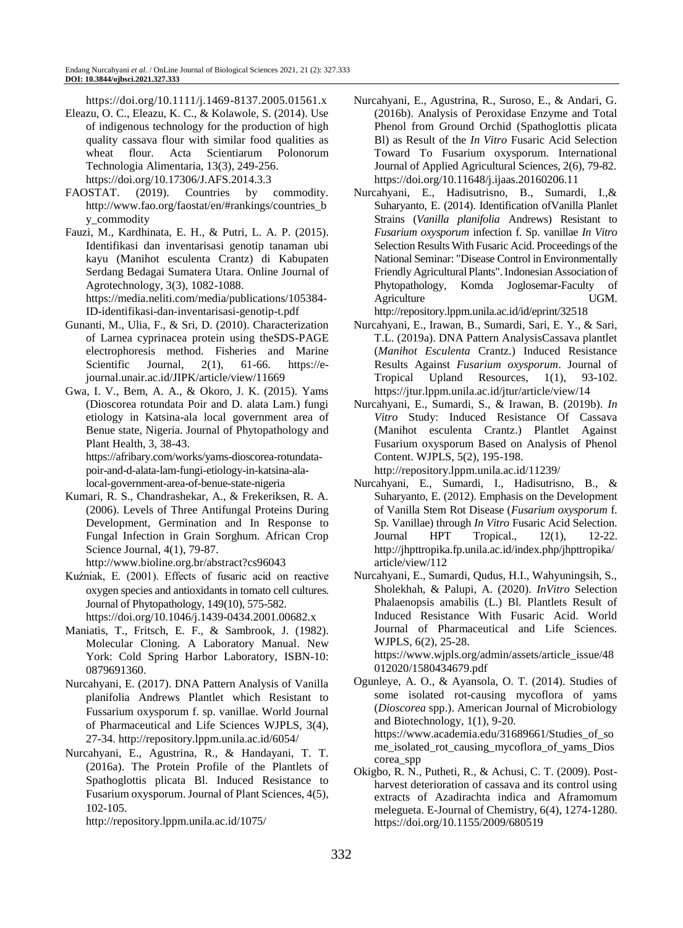https://doi.org/10.1111/j.1469-8137.2005.01561.x

- Eleazu, O. C., Eleazu, K. C., & Kolawole, S. (2014). Use of indigenous technology for the production of high quality cassava flour with similar food qualities as wheat flour. Acta Scientiarum Polonorum Technologia Alimentaria, 13(3), 249-256. https://doi.org/10.17306/J.AFS.2014.3.3
- FAOSTAT. (2019). Countries by commodity. [http://www.fao.org/faostat/en/#rankings/countries\\_b](http://www.fao.org/faostat/en/#rankings/countries_by_commodity) [y\\_commodity](http://www.fao.org/faostat/en/#rankings/countries_by_commodity)
- Fauzi, M., Kardhinata, E. H., & Putri, L. A. P. (2015). Identifikasi dan inventarisasi genotip tanaman ubi kayu (Manihot esculenta Crantz) di Kabupaten Serdang Bedagai Sumatera Utara. Online Journal of Agrotechnology, 3(3), 1082-1088. https://media.neliti.com/media/publications/105384-

ID-identifikasi-dan-inventarisasi-genotip-t.pdf

- Gunanti, M., Ulia, F., & Sri, D. (2010). Characterization of Larnea cyprinacea protein using theSDS-PAGE electrophoresis method. Fisheries and Marine Scientific Journal,  $2(1)$ ,  $61-66$ . https://ejournal.unair.ac.id/JIPK/article/view/11669
- Gwa, I. V., Bem, A. A., & Okoro, J. K. (2015). Yams (Dioscorea rotundata Poir and D. alata Lam.) fungi etiology in Katsina-ala local government area of Benue state, Nigeria. Journal of Phytopathology and Plant Health, 3, 38-43. https://afribary.com/works/yams-dioscorea-rotundata-

poir-and-d-alata-lam-fungi-etiology-in-katsina-alalocal-government-area-of-benue-state-nigeria

- Kumari, R. S., Chandrashekar, A., & Frekeriksen, R. A. (2006). Levels of Three Antifungal Proteins During Development, Germination and In Response to Fungal Infection in Grain Sorghum. African Crop Science Journal, 4(1), 79-87.
- http://www.bioline.org.br/abstract?cs96043 Kuźniak, E. (2001). Effects of fusaric acid on reactive oxygen species and antioxidants in tomato cell cultures.
- Journal of Phytopathology, 149(10), 575-582. https://doi.org/10.1046/j.1439-0434.2001.00682.x
- Maniatis, T., Fritsch, E. F., & Sambrook, J. (1982). Molecular Cloning. A Laboratory Manual. New York: Cold Spring Harbor Laboratory, ISBN-10: 0879691360.
- Nurcahyani, E. (2017). DNA Pattern Analysis of Vanilla planifolia Andrews Plantlet which Resistant to Fussarium oxysporum f. sp. vanillae. World Journal of Pharmaceutical and Life Sciences WJPLS, 3(4), 27-34. http://repository.lppm.unila.ac.id/6054/
- Nurcahyani, E., Agustrina, R., & Handayani, T. T. (2016a). The Protein Profile of the Plantlets of Spathoglottis plicata Bl. Induced Resistance to Fusarium oxysporum. Journal of Plant Sciences, 4(5), 102-105.

http://repository.lppm.unila.ac.id/1075/

- Nurcahyani, E., Agustrina, R., Suroso, E., & Andari, G. (2016b). Analysis of Peroxidase Enzyme and Total Phenol from Ground Orchid (Spathoglottis plicata Bl) as Result of the *In Vitro* Fusaric Acid Selection Toward To Fusarium oxysporum. International Journal of Applied Agricultural Sciences, 2(6), 79-82. https://doi.org/10.11648/j.ijaas.20160206.11
- Nurcahyani, E., Hadisutrisno, B., Sumardi, I.,& Suharyanto, E. (2014). Identification ofVanilla Planlet Strains (*Vanilla planifolia* Andrews) Resistant to *Fusarium oxysporum* infection f. Sp. vanillae *In Vitro* Selection Results With Fusaric Acid. Proceedings of the National Seminar: "Disease Control in Environmentally Friendly Agricultural Plants".Indonesian Association of Phytopathology, Komda Joglosemar-Faculty of Agriculture UGM.

http://repository.lppm.unila.ac.id/id/eprint/32518

- Nurcahyani, E., Irawan, B., Sumardi, Sari, E. Y., & Sari, T.L. (2019a). DNA Pattern AnalysisCassava plantlet (*Manihot Esculenta* Crantz.) Induced Resistance Results Against *Fusarium oxysporum*. Journal of Tropical Upland Resources, 1(1), 93-102. https://jtur.lppm.unila.ac.id/jtur/article/view/14
- Nurcahyani, E., Sumardi, S., & Irawan, B. (2019b). *In Vitro* Study: Induced Resistance Of Cassava (Manihot esculenta Crantz.) Plantlet Against Fusarium oxysporum Based on Analysis of Phenol Content. WJPLS, 5(2), 195-198.

http://repository.lppm.unila.ac.id/11239/

- Nurcahyani, E., Sumardi, I., Hadisutrisno, B., & Suharyanto, E. (2012). Emphasis on the Development of Vanilla Stem Rot Disease (*Fusarium oxysporum* f. Sp. Vanillae) through *In Vitro* Fusaric Acid Selection. Journal HPT Tropical., 12(1), 12-22. http://jhpttropika.fp.unila.ac.id/index.php/jhpttropika/ article/view/112
- Nurcahyani, E., Sumardi, Qudus, H.I., Wahyuningsih, S., Sholekhah, & Palupi, A. (2020). *InVitro* Selection Phalaenopsis amabilis (L.) Bl. Plantlets Result of Induced Resistance With Fusaric Acid. World Journal of Pharmaceutical and Life Sciences. WJPLS, 6(2), 25-28. https://www.wjpls.org/admin/assets/article\_issue/48

012020/1580434679.pdf Ogunleye, A. O., & Ayansola, O. T. (2014). Studies of some isolated rot-causing mycoflora of yams (*Dioscorea* spp.). American Journal of Microbiology and Biotechnology, 1(1), 9-20.

https://www.academia.edu/31689661/Studies\_of\_so me\_isolated\_rot\_causing\_mycoflora\_of\_yams\_Dios corea\_spp

Okigbo, R. N., Putheti, R., & Achusi, C. T. (2009). Postharvest deterioration of cassava and its control using extracts of Azadirachta indica and Aframomum melegueta. E-Journal of Chemistry, 6(4), 1274-1280. https://doi.org/10.1155/2009/680519